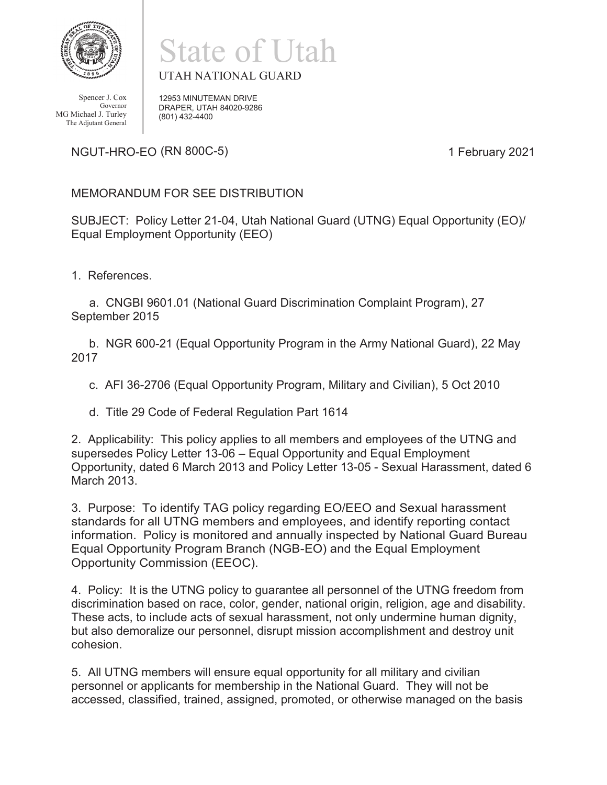

Spencer J. Cox Governor MG Michael J. Turley The Adjutant General

## State of Utah UTAH NATIONAL GUARD

12953 MINUTEMAN DRIVE DRAPER, UTAH 84020-9286

NGUT-HRO-EO (RN 800C-5) and the control of the control of the control of the control of the control of the control of the control of the control of the control of the control of the control of the control of the control of

## MEMORANDUM FOR SEE DISTRIBUTION

(801) 432-4400

SUBJECT: Policy Letter 21-04, Utah National Guard (UTNG) Equal Opportunity (EO)/ Equal Employment Opportunity (EEO)

1. References.

a. CNGBI 9601.01 (National Guard Discrimination Complaint Program), 27 September 2015

b. NGR 600-21 (Equal Opportunity Program in the Army National Guard), 22 May 2017

c. AFI 36-2706 (Equal Opportunity Program, Military and Civilian), 5 Oct 2010

d. Title 29 Code of Federal Regulation Part 1614

2. Applicability: This policy applies to all members and employees of the UTNG and supersedes Policy Letter 13-06 – Equal Opportunity and Equal Employment Opportunity, dated 6 March 2013 and Policy Letter 13-05 - Sexual Harassment, dated 6 March 2013.

3. Purpose: To identify TAG policy regarding EO/EEO and Sexual harassment standards for all UTNG members and employees, and identify reporting contact information. Policy is monitored and annually inspected by National Guard Bureau Equal Opportunity Program Branch (NGB-EO) and the Equal Employment Opportunity Commission (EEOC).

4. Policy: It is the UTNG policy to guarantee all personnel of the UTNG freedom from discrimination based on race, color, gender, national origin, religion, age and disability. These acts, to include acts of sexual harassment, not only undermine human dignity, but also demoralize our personnel, disrupt mission accomplishment and destroy unit cohesion.

5. All UTNG members will ensure equal opportunity for all military and civilian personnel or applicants for membership in the National Guard. They will not be accessed, classified, trained, assigned, promoted, or otherwise managed on the basis